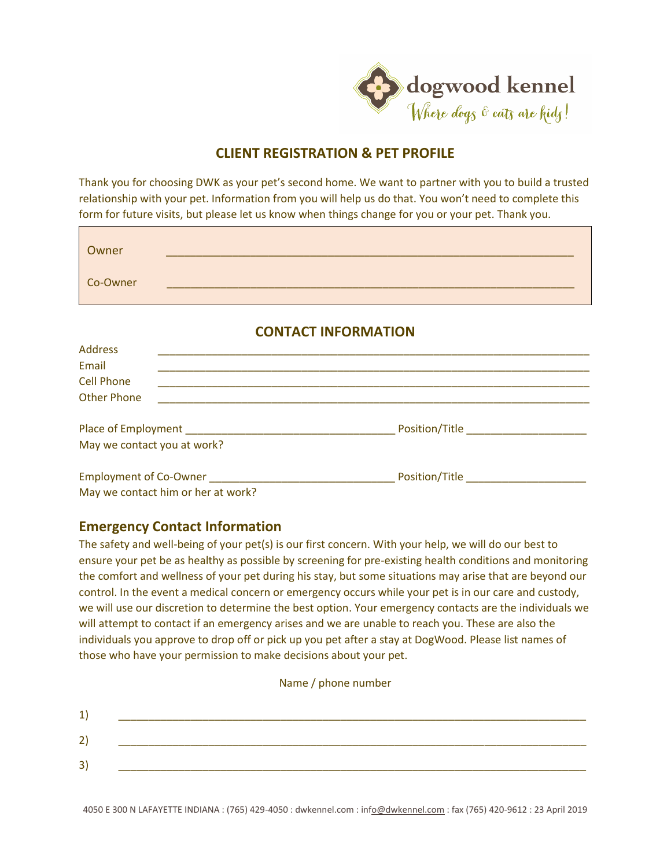

# **CLIENT REGISTRATION & PET PROFILE**

Thank you for choosing DWK as your pet's second home. We want to partner with you to build a trusted relationship with your pet. Information from you will help us do that. You won't need to complete this form for future visits, but please let us know when things change for you or your pet. Thank you.

| Owner    |  |
|----------|--|
| Co-Owner |  |

### **CONTACT INFORMATION**

| <b>Address</b>                     |                                    |
|------------------------------------|------------------------------------|
| Email                              |                                    |
| <b>Cell Phone</b>                  |                                    |
| <b>Other Phone</b>                 |                                    |
|                                    | Position/Title <b>Example</b>      |
| May we contact you at work?        |                                    |
| <b>Employment of Co-Owner</b>      | Position/Title <b>Example 2018</b> |
| May we contact him or her at work? |                                    |

## **Emergency Contact Information**

The safety and well-being of your pet(s) is our first concern. With your help, we will do our best to ensure your pet be as healthy as possible by screening for pre-existing health conditions and monitoring the comfort and wellness of your pet during his stay, but some situations may arise that are beyond our control. In the event a medical concern or emergency occurs while your pet is in our care and custody, we will use our discretion to determine the best option. Your emergency contacts are the individuals we will attempt to contact if an emergency arises and we are unable to reach you. These are also the individuals you approve to drop off or pick up you pet after a stay at DogWood. Please list names of those who have your permission to make decisions about your pet.

| 2'              |  |  |  |
|-----------------|--|--|--|
| $\vert 3 \vert$ |  |  |  |
|                 |  |  |  |

Name / phone number

4050 E 300 N LAFAYETTE INDIANA : (765) 429-4050 : dwkennel.com : in[fo@dwkennel.com](mailto:o@dwkennel.com) : fax (765) 420-9612 : 23 April 2019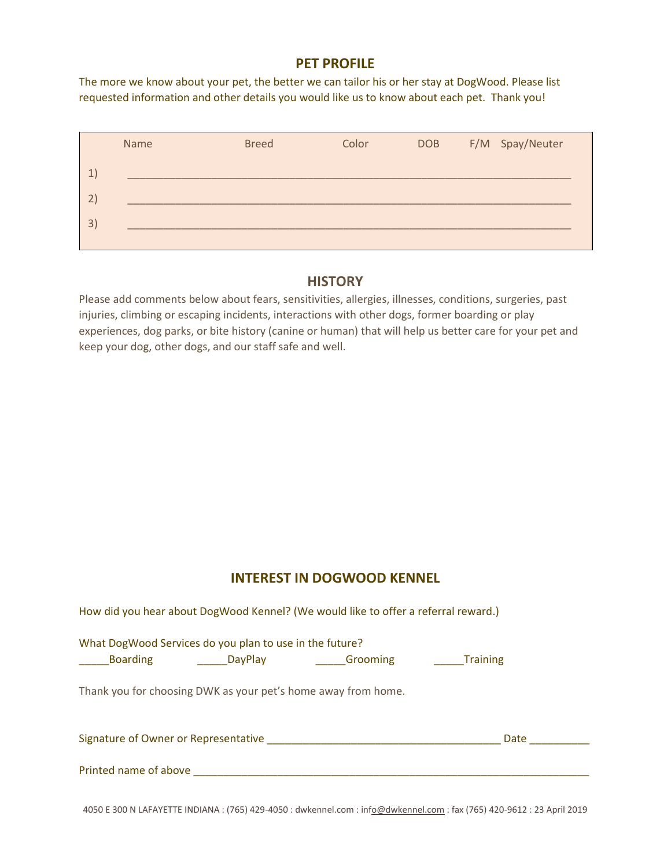#### **PET PROFILE**

The more we know about your pet, the better we can tailor his or her stay at DogWood. Please list requested information and other details you would like us to know about each pet. Thank you!

|              | Name | <b>Breed</b> | Color | DOB | F/M Spay/Neuter |
|--------------|------|--------------|-------|-----|-----------------|
| 1            |      |              |       |     |                 |
| $\mathbf{2}$ |      |              |       |     |                 |
| 3)           |      |              |       |     |                 |
|              |      |              |       |     |                 |

#### **HISTORY**

Please add comments below about fears, sensitivities, allergies, illnesses, conditions, surgeries, past injuries, climbing or escaping incidents, interactions with other dogs, former boarding or play experiences, dog parks, or bite history (canine or human) that will help us better care for your pet and keep your dog, other dogs, and our staff safe and well.

## **INTEREST IN DOGWOOD KENNEL**

|                       |                                                         | How did you hear about DogWood Kennel? (We would like to offer a referral reward.)                 |                 |  |
|-----------------------|---------------------------------------------------------|----------------------------------------------------------------------------------------------------|-----------------|--|
|                       | What DogWood Services do you plan to use in the future? | <b>Example 2</b> LayPlay Comming DayPlay Comming                                                   | <b>Training</b> |  |
|                       |                                                         | Thank you for choosing DWK as your pet's home away from home.                                      |                 |  |
|                       |                                                         | Signature of Owner or Representative Manual Account of the Contractor of County and September 2014 | Date            |  |
| Printed name of above |                                                         |                                                                                                    |                 |  |

4050 E 300 N LAFAYETTE INDIANA : (765) 429-4050 : dwkennel.com : in[fo@dwkennel.com](mailto:o@dwkennel.com) : fax (765) 420-9612 : 23 April 2019